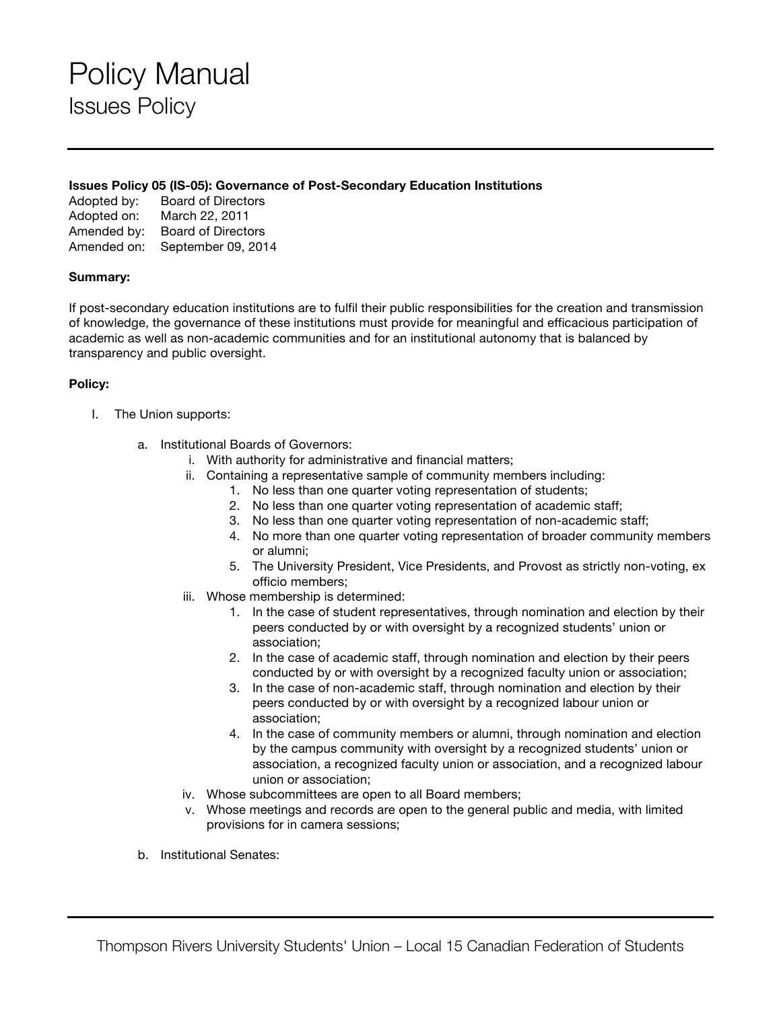### Policy Manual Issues Policy

#### **Issues Policy 05 (IS-05): Governance of Post-Secondary Education Institutions**

Adopted by: Board of Directors Adopted on: March 22, 2011 Amended by: Board of Directors Amended on: September 09, 2014

### **Summary:**

If post-secondary education institutions are to fulfil their public responsibilities for the creation and transmission of knowledge, the governance of these institutions must provide for meaningful and efficacious participation of academic as well as non-academic communities and for an institutional autonomy that is balanced by transparency and public oversight.

### **Policy:**

- I. The Union supports:
	- a. Institutional Boards of Governors:
		- i. With authority for administrative and financial matters;
		- ii. Containing a representative sample of community members including:
			- 1. No less than one quarter voting representation of students;
			- 2. No less than one quarter voting representation of academic staff;
			- 3. No less than one quarter voting representation of non-academic staff;
			- 4. No more than one quarter voting representation of broader community members or alumni;
			- 5. The University President, Vice Presidents, and Provost as strictly non-voting, ex officio members;
		- iii. Whose membership is determined:
			- 1. In the case of student representatives, through nomination and election by their peers conducted by or with oversight by a recognized students' union or association;
			- 2. In the case of academic staff, through nomination and election by their peers conducted by or with oversight by a recognized faculty union or association;
			- 3. In the case of non-academic staff, through nomination and election by their peers conducted by or with oversight by a recognized labour union or association;
			- 4. In the case of community members or alumni, through nomination and election by the campus community with oversight by a recognized students' union or association, a recognized faculty union or association, and a recognized labour union or association;
		- iv. Whose subcommittees are open to all Board members;
		- v. Whose meetings and records are open to the general public and media, with limited provisions for in camera sessions;
	- b. Institutional Senates: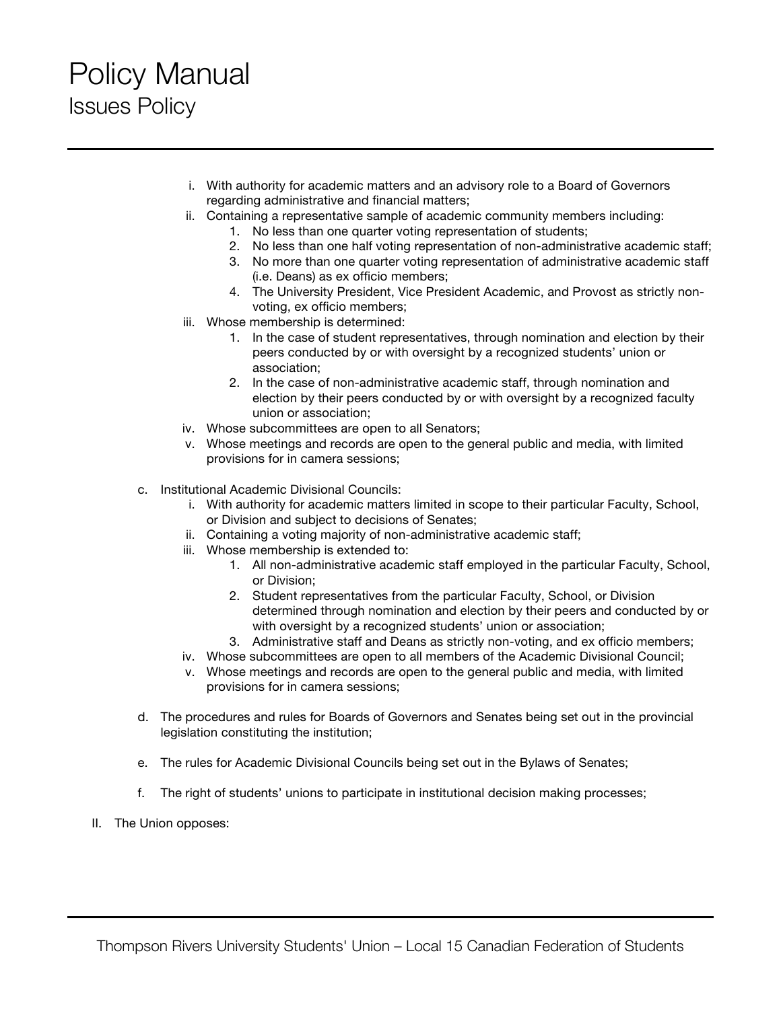# Policy Manual Issues Policy

- i. With authority for academic matters and an advisory role to a Board of Governors regarding administrative and financial matters;
- ii. Containing a representative sample of academic community members including:
	- 1. No less than one quarter voting representation of students;
	- 2. No less than one half voting representation of non-administrative academic staff;
	- 3. No more than one quarter voting representation of administrative academic staff (i.e. Deans) as ex officio members;
	- 4. The University President, Vice President Academic, and Provost as strictly nonvoting, ex officio members;
- iii. Whose membership is determined:
	- 1. In the case of student representatives, through nomination and election by their peers conducted by or with oversight by a recognized students' union or association;
	- 2. In the case of non-administrative academic staff, through nomination and election by their peers conducted by or with oversight by a recognized faculty union or association;
- iv. Whose subcommittees are open to all Senators;
- v. Whose meetings and records are open to the general public and media, with limited provisions for in camera sessions;
- c. Institutional Academic Divisional Councils:
	- i. With authority for academic matters limited in scope to their particular Faculty, School, or Division and subject to decisions of Senates;
	- ii. Containing a voting majority of non-administrative academic staff;
	- iii. Whose membership is extended to:
		- 1. All non-administrative academic staff employed in the particular Faculty, School, or Division;
		- 2. Student representatives from the particular Faculty, School, or Division determined through nomination and election by their peers and conducted by or with oversight by a recognized students' union or association;
		- 3. Administrative staff and Deans as strictly non-voting, and ex officio members;
	- iv. Whose subcommittees are open to all members of the Academic Divisional Council;
	- v. Whose meetings and records are open to the general public and media, with limited provisions for in camera sessions;
- d. The procedures and rules for Boards of Governors and Senates being set out in the provincial legislation constituting the institution;
- e. The rules for Academic Divisional Councils being set out in the Bylaws of Senates;
- f. The right of students' unions to participate in institutional decision making processes;
- II. The Union opposes: